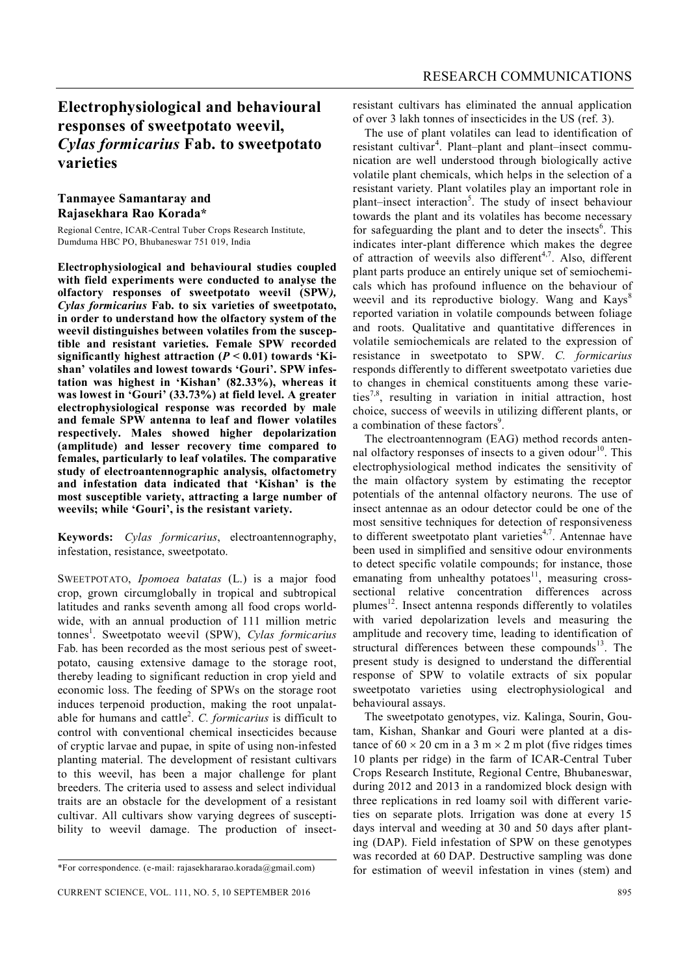## **Electrophysiological and behavioural responses of sweetpotato weevil,**  *Cylas formicarius* **Fab. to sweetpotato varieties**

## **Tanmayee Samantaray and Rajasekhara Rao Korada\***

Regional Centre, ICAR-Central Tuber Crops Research Institute, Dumduma HBC PO, Bhubaneswar 751 019, India

**Electrophysiological and behavioural studies coupled with field experiments were conducted to analyse the olfactory responses of sweetpotato weevil (SPW***), Cylas formicarius* **Fab. to six varieties of sweetpotato, in order to understand how the olfactory system of the weevil distinguishes between volatiles from the susceptible and resistant varieties. Female SPW recorded significantly highest attraction (***P* **< 0.01) towards 'Kishan' volatiles and lowest towards 'Gouri'. SPW infestation was highest in 'Kishan' (82.33%), whereas it was lowest in 'Gouri' (33.73%) at field level. A greater electrophysiological response was recorded by male and female SPW antenna to leaf and flower volatiles respectively. Males showed higher depolarization (amplitude) and lesser recovery time compared to females, particularly to leaf volatiles. The comparative study of electroantennographic analysis, olfactometry and infestation data indicated that 'Kishan' is the most susceptible variety, attracting a large number of weevils; while 'Gouri', is the resistant variety.**

**Keywords:** *Cylas formicarius*, electroantennography, infestation, resistance, sweetpotato.

SWEETPOTATO, *Ipomoea batatas* (L.) is a major food crop, grown circumglobally in tropical and subtropical latitudes and ranks seventh among all food crops worldwide, with an annual production of 111 million metric tonnes 1 . Sweetpotato weevil (SPW), *Cylas formicarius*  Fab. has been recorded as the most serious pest of sweetpotato, causing extensive damage to the storage root, thereby leading to significant reduction in crop yield and economic loss. The feeding of SPWs on the storage root induces terpenoid production, making the root unpalatable for humans and cattle<sup>2</sup>. C. *formicarius* is difficult to control with conventional chemical insecticides because of cryptic larvae and pupae, in spite of using non-infested planting material. The development of resistant cultivars to this weevil, has been a major challenge for plant breeders. The criteria used to assess and select individual traits are an obstacle for the development of a resistant cultivar. All cultivars show varying degrees of susceptibility to weevil damage. The production of insectresistant cultivars has eliminated the annual application of over 3 lakh tonnes of insecticides in the US (ref. 3).

The use of plant volatiles can lead to identification of resistant cultivar<sup>4</sup>. Plant–plant and plant–insect communication are well understood through biologically active volatile plant chemicals, which helps in the selection of a resistant variety. Plant volatiles play an important role in plant–insect interaction<sup>5</sup>. The study of insect behaviour towards the plant and its volatiles has become necessary for safeguarding the plant and to deter the insects<sup>6</sup>. This indicates inter-plant difference which makes the degree of attraction of weevils also different<sup>4,7</sup>. Also, different plant parts produce an entirely unique set of semiochemicals which has profound influence on the behaviour of weevil and its reproductive biology. Wang and  $Kaws<sup>8</sup>$ reported variation in volatile compounds between foliage and roots. Qualitative and quantitative differences in volatile semiochemicals are related to the expression of resistance in sweetpotato to SPW. *C. formicarius*  responds differently to different sweetpotato varieties due to changes in chemical constituents among these varieties7,8, resulting in variation in initial attraction, host choice, success of weevils in utilizing different plants, or a combination of these factors<sup>9</sup>.

The electroantennogram (EAG) method records antennal olfactory responses of insects to a given odour<sup>10</sup>. This electrophysiological method indicates the sensitivity of the main olfactory system by estimating the receptor potentials of the antennal olfactory neurons. The use of insect antennae as an odour detector could be one of the most sensitive techniques for detection of responsiveness to different sweetpotato plant varieties $4,7$ . Antennae have been used in simplified and sensitive odour environments to detect specific volatile compounds; for instance, those emanating from unhealthy potatoes<sup>11</sup>, measuring crosssectional relative concentration differences across plumes<sup>12</sup>. Insect antenna responds differently to volatiles with varied depolarization levels and measuring the amplitude and recovery time, leading to identification of structural differences between these compounds<sup>13</sup>. The present study is designed to understand the differential response of SPW to volatile extracts of six popular sweetpotato varieties using electrophysiological and behavioural assays.

The sweetpotato genotypes, viz. Kalinga, Sourin, Goutam, Kishan, Shankar and Gouri were planted at a distance of  $60 \times 20$  cm in a 3 m  $\times$  2 m plot (five ridges times 10 plants per ridge) in the farm of ICAR-Central Tuber Crops Research Institute, Regional Centre, Bhubaneswar, during 2012 and 2013 in a randomized block design with three replications in red loamy soil with different varieties on separate plots. Irrigation was done at every 15 days interval and weeding at 30 and 50 days after planting (DAP). Field infestation of SPW on these genotypes was recorded at 60 DAP. Destructive sampling was done for estimation of weevil infestation in vines (stem) and

<sup>\*</sup>For correspondence. (e-mail: rajasekhararao.korada@gmail.com)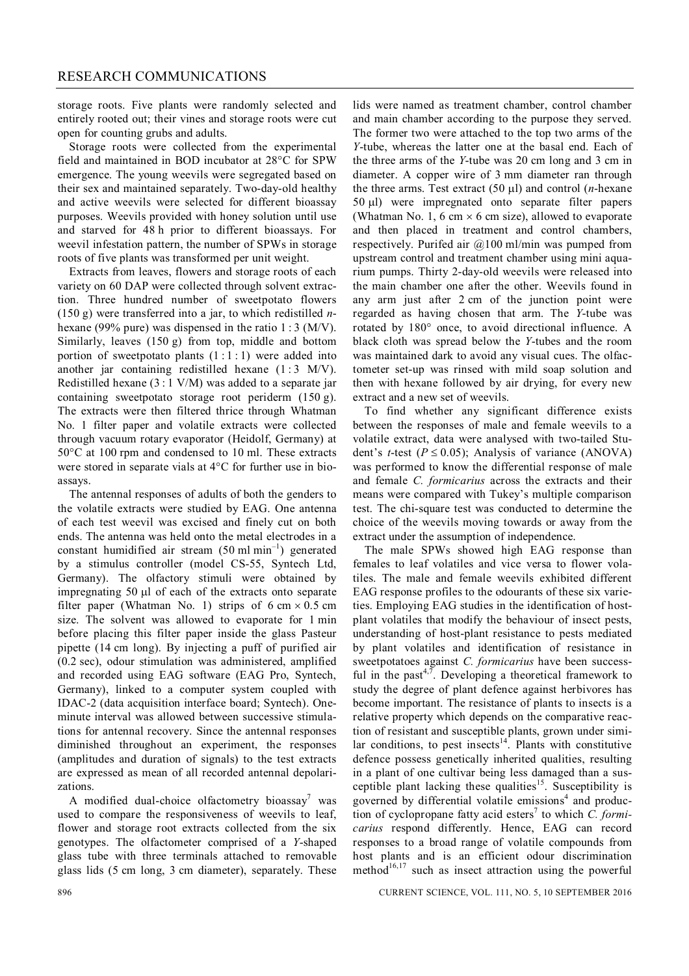storage roots. Five plants were randomly selected and entirely rooted out; their vines and storage roots were cut open for counting grubs and adults.

Storage roots were collected from the experimental field and maintained in BOD incubator at  $28^{\circ}$ C for SPW emergence. The young weevils were segregated based on their sex and maintained separately. Two-day-old healthy and active weevils were selected for different bioassay purposes. Weevils provided with honey solution until use and starved for 48 h prior to different bioassays. For weevil infestation pattern, the number of SPWs in storage roots of five plants was transformed per unit weight.

Extracts from leaves, flowers and storage roots of each variety on 60 DAP were collected through solvent extraction. Three hundred number of sweetpotato flowers (150 g) were transferred into a jar, to which redistilled *n*hexane (99% pure) was dispensed in the ratio 1 : 3 (M/V). Similarly, leaves  $(150 \text{ g})$  from top, middle and bottom portion of sweetpotato plants  $(1:1:1)$  were added into another jar containing redistilled hexane  $(1:3 \text{ M/V})$ . Redistilled hexane  $(3:1 \text{ V/M})$  was added to a separate jar containing sweetpotato storage root periderm (150 g). The extracts were then filtered thrice through Whatman No. 1 filter paper and volatile extracts were collected through vacuum rotary evaporator (Heidolf, Germany) at  $50^{\circ}$ C at 100 rpm and condensed to 10 ml. These extracts were stored in separate vials at  $4^{\circ}$ C for further use in bioassays.

The antennal responses of adults of both the genders to the volatile extracts were studied by EAG. One antenna of each test weevil was excised and finely cut on both ends. The antenna was held onto the metal electrodes in a constant humidified air stream  $(50 \text{ ml min}^{-1})$  generated by a stimulus controller (model CS-55, Syntech Ltd, Germany). The olfactory stimuli were obtained by impregnating 50 ul of each of the extracts onto separate filter paper (Whatman No. 1) strips of 6 cm  $\times$  0.5 cm size. The solvent was allowed to evaporate for 1 min before placing this filter paper inside the glass Pasteur pipette (14 cm long). By injecting a puff of purified air (0.2 sec), odour stimulation was administered, amplified and recorded using EAG software (EAG Pro, Syntech, Germany), linked to a computer system coupled with IDAC-2 (data acquisition interface board; Syntech). Oneminute interval was allowed between successive stimulations for antennal recovery. Since the antennal responses diminished throughout an experiment, the responses (amplitudes and duration of signals) to the test extracts are expressed as mean of all recorded antennal depolarizations.

A modified dual-choice olfactometry bioassay<sup>7</sup> was used to compare the responsiveness of weevils to leaf, flower and storage root extracts collected from the six genotypes. The olfactometer comprised of a *Y*-shaped glass tube with three terminals attached to removable glass lids (5 cm long, 3 cm diameter), separately. These

lids were named as treatment chamber, control chamber and main chamber according to the purpose they served. The former two were attached to the top two arms of the *Y*-tube, whereas the latter one at the basal end. Each of the three arms of the *Y*-tube was 20 cm long and 3 cm in diameter. A copper wire of 3 mm diameter ran through the three arms. Test extract  $(50 \text{ ul})$  and control  $(n$ -hexane  $50 \mu$ ) were impregnated onto separate filter papers (Whatman No. 1, 6 cm  $\times$  6 cm size), allowed to evaporate and then placed in treatment and control chambers, respectively. Purifed air @100 ml/min was pumped from upstream control and treatment chamber using mini aquarium pumps. Thirty 2-day-old weevils were released into the main chamber one after the other. Weevils found in any arm just after 2 cm of the junction point were regarded as having chosen that arm. The *Y*-tube was rotated by 180° once, to avoid directional influence. A black cloth was spread below the *Y*-tubes and the room was maintained dark to avoid any visual cues. The olfactometer set-up was rinsed with mild soap solution and then with hexane followed by air drying, for every new extract and a new set of weevils.

To find whether any significant difference exists between the responses of male and female weevils to a volatile extract, data were analysed with two-tailed Student's *t*-test ( $P \le 0.05$ ); Analysis of variance (ANOVA) was performed to know the differential response of male and female *C. formicarius* across the extracts and their means were compared with Tukey's multiple comparison test. The chi-square test was conducted to determine the choice of the weevils moving towards or away from the extract under the assumption of independence.

The male SPWs showed high EAG response than females to leaf volatiles and vice versa to flower volatiles. The male and female weevils exhibited different EAG response profiles to the odourants of these six varieties. Employing EAG studies in the identification of hostplant volatiles that modify the behaviour of insect pests, understanding of host-plant resistance to pests mediated by plant volatiles and identification of resistance in sweetpotatoes against *C. formicarius* have been successful in the past<sup>4,7</sup>. Developing a theoretical framework to study the degree of plant defence against herbivores has become important. The resistance of plants to insects is a relative property which depends on the comparative reaction of resistant and susceptible plants, grown under similar conditions, to pest insects<sup> $14$ </sup>. Plants with constitutive defence possess genetically inherited qualities, resulting in a plant of one cultivar being less damaged than a susceptible plant lacking these qualities<sup>15</sup>. Susceptibility is governed by differential volatile emissions<sup>4</sup> and production of cyclopropane fatty acid esters<sup>7</sup> to which *C. formicarius* respond differently. Hence, EAG can record responses to a broad range of volatile compounds from host plants and is an efficient odour discrimination method $16,17$  such as insect attraction using the powerful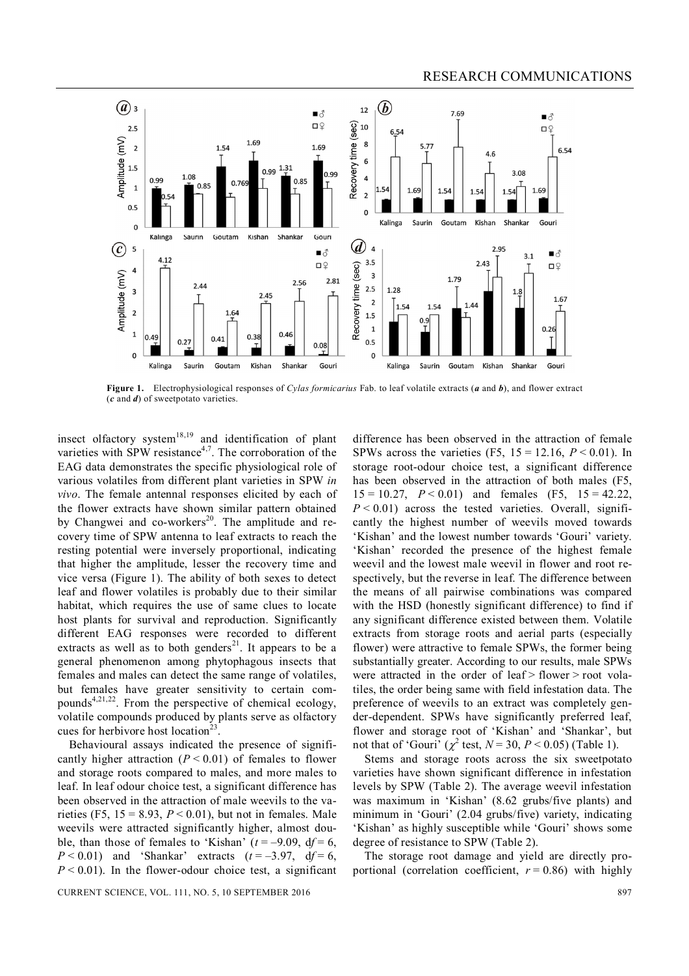

**Figure 1.** Electrophysiological responses of *Cylas formicarius* Fab. to leaf volatile extracts (*a* and *b*), and flower extract (*c* and *d*) of sweetpotato varieties.

insect olfactory system<sup>18,19</sup> and identification of plant varieties with SPW resistance<sup>4,7</sup>. The corroboration of the EAG data demonstrates the specific physiological role of various volatiles from different plant varieties in SPW *in vivo*. The female antennal responses elicited by each of the flower extracts have shown similar pattern obtained by Changwei and co-workers<sup>20</sup>. The amplitude and recovery time of SPW antenna to leaf extracts to reach the resting potential were inversely proportional, indicating that higher the amplitude, lesser the recovery time and vice versa (Figure 1). The ability of both sexes to detect leaf and flower volatiles is probably due to their similar habitat, which requires the use of same clues to locate host plants for survival and reproduction. Significantly different EAG responses were recorded to different extracts as well as to both genders<sup>21</sup>. It appears to be a general phenomenon among phytophagous insects that females and males can detect the same range of volatiles, but females have greater sensitivity to certain compounds<sup>4,21,22</sup>. From the perspective of chemical ecology, volatile compounds produced by plants serve as olfactory cues for herbivore host location<sup>23</sup> .

Behavioural assays indicated the presence of significantly higher attraction  $(P < 0.01)$  of females to flower and storage roots compared to males, and more males to leaf. In leaf odour choice test, a significant difference has been observed in the attraction of male weevils to the varieties (F5,  $15 = 8.93$ ,  $P < 0.01$ ), but not in females. Male weevils were attracted significantly higher, almost double, than those of females to 'Kishan'  $(t = -9.09, df = 6,$  $P < 0.01$ ) and 'Shankar' extracts ( $t = -3.97$ , d $f = 6$ ,  $P \le 0.01$ ). In the flower-odour choice test, a significant

CURRENT SCIENCE, VOL. 111, NO. 5, 10 SEPTEMBER 2016 897

difference has been observed in the attraction of female SPWs across the varieties (F5,  $15 = 12.16$ ,  $P < 0.01$ ). In storage root-odour choice test, a significant difference has been observed in the attraction of both males (F5,  $15 = 10.27$ ,  $P < 0.01$ ) and females (F5,  $15 = 42.22$ ,  $P < 0.01$ ) across the tested varieties. Overall, significantly the highest number of weevils moved towards 'Kishan' and the lowest number towards 'Gouri' variety. 'Kishan' recorded the presence of the highest female weevil and the lowest male weevil in flower and root respectively, but the reverse in leaf. The difference between the means of all pairwise combinations was compared with the HSD (honestly significant difference) to find if any significant difference existed between them. Volatile extracts from storage roots and aerial parts (especially flower) were attractive to female SPWs, the former being substantially greater. According to our results, male SPWs were attracted in the order of leaf > flower > root volatiles, the order being same with field infestation data. The preference of weevils to an extract was completely gender-dependent. SPWs have significantly preferred leaf, flower and storage root of 'Kishan' and 'Shankar', but not that of 'Gouri' ( $\chi^2$  test,  $N = 30$ ,  $P < 0.05$ ) (Table 1).

Stems and storage roots across the six sweetpotato varieties have shown significant difference in infestation levels by SPW (Table 2). The average weevil infestation was maximum in 'Kishan' (8.62 grubs/five plants) and minimum in 'Gouri' (2.04 grubs/five) variety, indicating 'Kishan' as highly susceptible while 'Gouri' shows some degree of resistance to SPW (Table 2).

The storage root damage and yield are directly proportional (correlation coefficient,  $r = 0.86$ ) with highly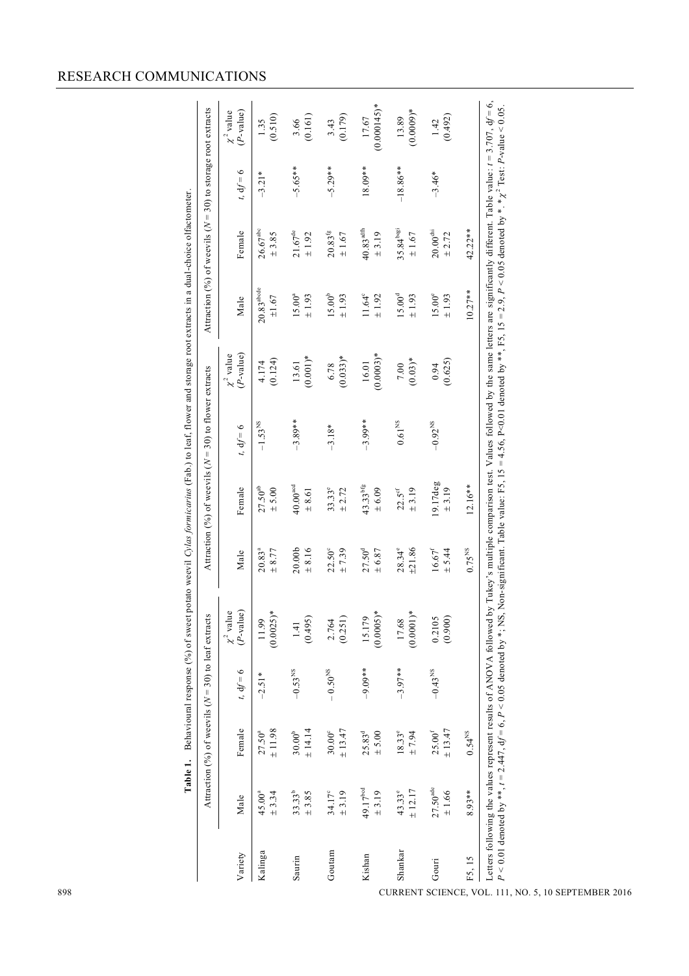## RESEARCH COMMUNICATIONS

|         |                                    | Attraction (%) of weevils ( $N = 30$ ) to leaf extracts |                       |                                   |                                  |                                      | Attraction (%) of weevils ( $N = 30$ ) to flower extracts |                                |                                     | Attraction (%) of weevils ( $N = 30$ ) to storage root extracts |             |                               |
|---------|------------------------------------|---------------------------------------------------------|-----------------------|-----------------------------------|----------------------------------|--------------------------------------|-----------------------------------------------------------|--------------------------------|-------------------------------------|-----------------------------------------------------------------|-------------|-------------------------------|
| Variety | Male                               | Female                                                  | $t, df = 6$           | $(P-value)$<br>$\chi^2$ value     | Male                             | Female                               | $t, df = 6$                                               | $(P$ -value)<br>$\chi^2$ value | Male                                | Female                                                          | $t, df = 6$ | $(P-value)$<br>$\chi^2$ value |
| Kalinga | $45.00^{a}$<br>± 3.34              | ±11.98<br>$27.50^{a}$                                   | $-2.51*$              | (0.0025)<br>11.99                 | $20.83^{a}$<br>± 8.77            | $27.50^\mathrm{ab}$<br>$\pm$ 5.00    | $-1.53^{\rm NS}$                                          | (0.124)<br>4.174               | $20.83^{\rm a b d e}$<br>$\pm 1.67$ | $26.67^{\rm abc}$<br>± 3.85                                     | $-3.21*$    | (0.510)<br>1.35               |
| Saurin  | $33.33^{b}$<br>$\pm$ 3.85          | ± 14.14<br>$30.00^{\rm b}$                              | $-0.53$ <sup>NS</sup> | (0.495)<br>1.41                   | 20.00 <sub>b</sub><br>$\pm$ 8.16 | $40.00^{acd}$<br>$\pm\,8.61$         | $-3.89**$                                                 | $(0.001)*$<br>13.61            | $15.00^{a}$<br>$\pm$ 1.93           | $21.67^{\rm de}$<br>$\pm$ 1.92                                  | $-5.65**$   | (0.161)<br>3.66               |
| Goutam  | $34.17^{\circ}$<br>± 3.19          | ± 13.47<br>$30.00^{\circ}$                              | $-0.50^{\rm NS}$      | (0.251)<br>2.764                  | $22.50^{\circ}$<br>±7.39         | $33.33^e$<br>± 2.72                  | $-3.18*$                                                  | $(0.033)*$<br>6.78             | $15.00^{\mathrm{b}}$<br>±1.93       | $20.83^{\rm fg}$<br>$\pm$ 1.67                                  | $-5.29**$   | (0.179)<br>3.43               |
| Kishan  | 49.17 <sup>bcd</sup><br>$\pm$ 3.19 | 25.83 <sup>d</sup><br>$\pm$ 5.00                        | $-9.09**$             | $\star$<br>15.179<br>$(0.0005)^*$ | $27.50^{d}$<br>$\pm 6.87$        | $43.33$ <sup>bfg</sup><br>$\pm 6.09$ | $-3.99**$                                                 | $(0.0003)*$<br>16.01           | $11.64^{\circ}$<br>± 1.92           | $40.83$ <sup>adfh</sup><br>± 3.19                               | 18.09**     | $(0.000145)*$<br>17.67        |
| Shankar | ± 12.17<br>$43.33^{\circ}$         | $18.33^e$<br>± 7.94                                     | $-3.97**$             | $(0.0001)*$<br>17.68              | ±21.86<br>$28.34^{\circ}$        | ± 3.19<br>$22.5$ <sup>cf</sup>       | $0.61^{\rm NS}$                                           | $(0.03)*$<br>$7.00\,$          | $15.00^{\rm d}$<br>$\pm$ 1.93       | 35.84 <sup>begin</sup><br>$\pm$ 1.67                            | $-18.86**$  | $(0.0009)*$<br>13.89          |
| Gouri   | $27.50^{\rm \, ade}$<br>$\pm$ 1.66 | ± 13.47<br>$25.00^\mathrm{f}$                           | $-0.43$ <sup>NS</sup> | (0.900)<br>0.2105                 | $16.67^\mathrm{f}$<br>± 5.44     | 19.17deg<br>± 3.19                   | $-0.92^{\mathrm{NS}}$                                     | (0.625)<br>0.94                | $15.00^{\circ}$<br>$\pm$ 1.93       | $20.00^{\rm chi}$<br>± 2.72                                     | $-3.46*$    | (0.492)<br>1.42               |
| F5, 15  | $8.93**$                           | $0.54$ <sup>NS</sup>                                    |                       |                                   | $0.75^{\rm NS}$                  | $12.16**$                            |                                                           |                                | $10.27**$                           | $42.22**$                                                       |             |                               |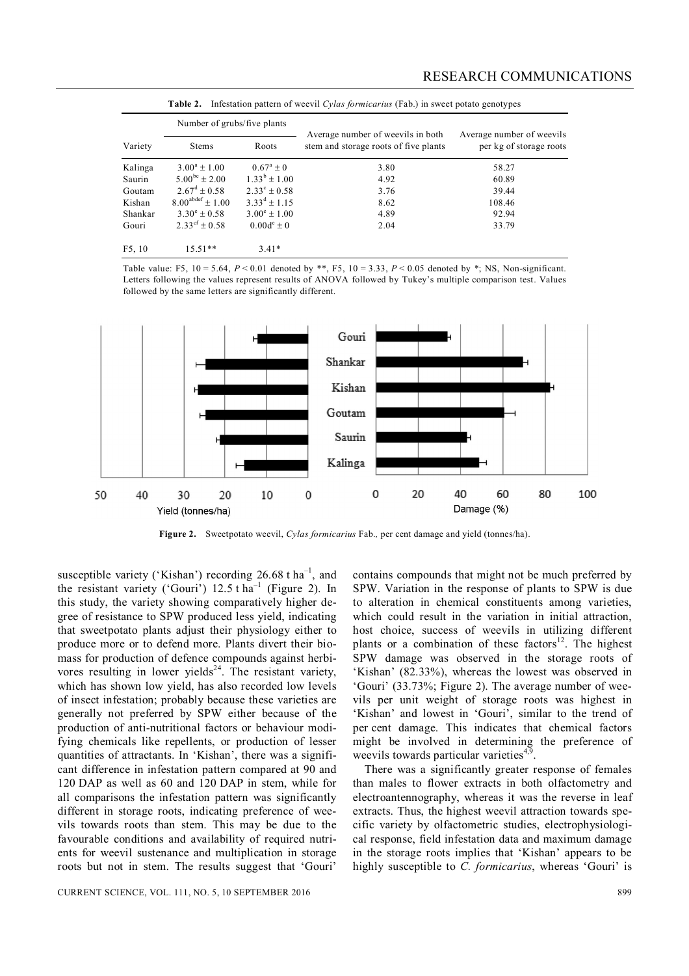|         | Number of grubs/five plants  |                       |                                                                            |                                                      |
|---------|------------------------------|-----------------------|----------------------------------------------------------------------------|------------------------------------------------------|
| Variety | <b>Stems</b>                 | Roots                 | Average number of weevils in both<br>stem and storage roots of five plants | Average number of weevils<br>per kg of storage roots |
| Kalinga | $3.00^a + 1.00$              | $0.67^{\rm a} + 0$    | 3.80                                                                       | 58.27                                                |
| Saurin  | $5.00^{bc} + 2.00$           | $1.33^{\rm b} + 1.00$ | 4.92                                                                       | 60.89                                                |
| Goutam  | $2.67^{\text{d}} + 0.58$     | $2.33^{\circ}$ + 0.58 | 3.76                                                                       | 39.44                                                |
| Kishan  | $8.00^{\text{abdef}} + 1.00$ | $3.33^d + 1.15$       | 8.62                                                                       | 108.46                                               |
| Shankar | $3.30^{\circ} + 0.58$        | $3.00^{\circ} + 1.00$ | 4.89                                                                       | 92.94                                                |
| Gouri   | $2.33^{\text{cf}} \pm 0.58$  | $0.00d^e \pm 0$       | 2.04                                                                       | 33.79                                                |
| F5, 10  | $15.51**$                    | $3.41*$               |                                                                            |                                                      |

|  |  |  |  | <b>Table 2.</b> Infestation pattern of weevil <i>Cylas formicarius</i> (Fab.) in sweet potato genotypes |
|--|--|--|--|---------------------------------------------------------------------------------------------------------|
|--|--|--|--|---------------------------------------------------------------------------------------------------------|

Table value: F5, 10 = 5.64, *P* < 0.01 denoted by \*\*, F5, 10 = 3.33, *P* < 0.05 denoted by \*; NS, Non-significant. Letters following the values represent results of ANOVA followed by Tukey's multiple comparison test. Values followed by the same letters are significantly different.



**Figure 2.** Sweetpotato weevil, *Cylas formicarius* Fab.*,* per cent damage and yield (tonnes/ha).

susceptible variety ('Kishan') recording 26.68 t ha<sup>-1</sup>, and the resistant variety ('Gouri')  $12.5$  t ha<sup>-1</sup> (Figure 2). In this study, the variety showing comparatively higher degree of resistance to SPW produced less yield, indicating that sweetpotato plants adjust their physiology either to produce more or to defend more. Plants divert their biomass for production of defence compounds against herbivores resulting in lower yields $24$ . The resistant variety, which has shown low yield, has also recorded low levels of insect infestation; probably because these varieties are generally not preferred by SPW either because of the production of anti-nutritional factors or behaviour modifying chemicals like repellents, or production of lesser quantities of attractants. In 'Kishan', there was a significant difference in infestation pattern compared at 90 and 120 DAP as well as 60 and 120 DAP in stem, while for all comparisons the infestation pattern was significantly different in storage roots, indicating preference of weevils towards roots than stem. This may be due to the favourable conditions and availability of required nutrients for weevil sustenance and multiplication in storage roots but not in stem. The results suggest that 'Gouri'

CURRENT SCIENCE, VOL. 111, NO. 5, 10 SEPTEMBER 2016 899

contains compounds that might not be much preferred by SPW. Variation in the response of plants to SPW is due to alteration in chemical constituents among varieties, which could result in the variation in initial attraction, host choice, success of weevils in utilizing different plants or a combination of these factors<sup>12</sup>. The highest SPW damage was observed in the storage roots of 'Kishan' (82.33%), whereas the lowest was observed in 'Gouri' (33.73%; Figure 2). The average number of weevils per unit weight of storage roots was highest in 'Kishan' and lowest in 'Gouri', similar to the trend of per cent damage. This indicates that chemical factors might be involved in determining the preference of weevils towards particular varieties<sup>4,9</sup>.

There was a significantly greater response of females than males to flower extracts in both olfactometry and electroantennography, whereas it was the reverse in leaf extracts. Thus, the highest weevil attraction towards specific variety by olfactometric studies, electrophysiological response, field infestation data and maximum damage in the storage roots implies that 'Kishan' appears to be highly susceptible to *C. formicarius*, whereas 'Gouri' is